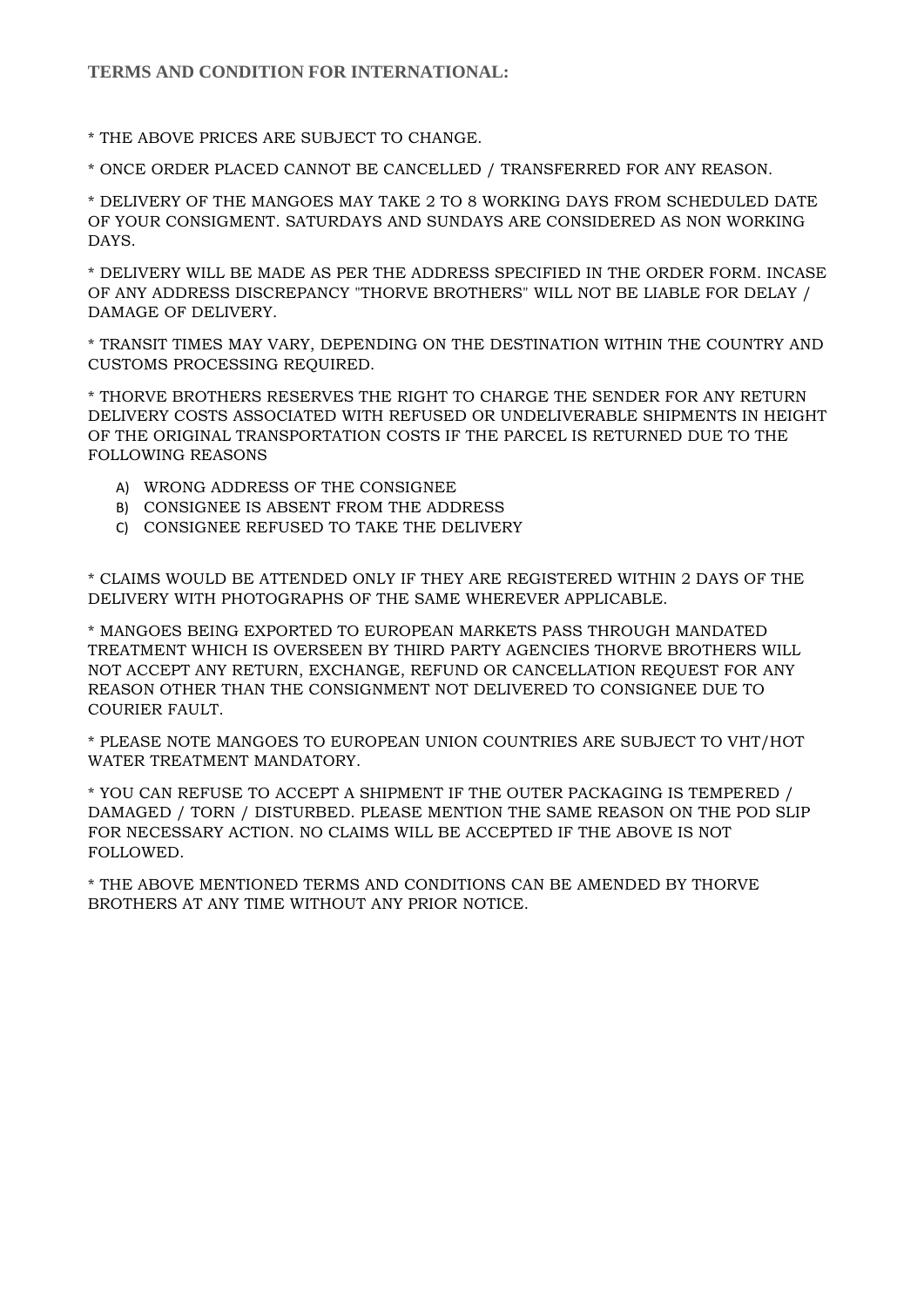## **TERMS AND CONDITION FOR INTERNATIONAL:**

\* THE ABOVE PRICES ARE SUBJECT TO CHANGE.

\* ONCE ORDER PLACED CANNOT BE CANCELLED / TRANSFERRED FOR ANY REASON.

\* DELIVERY OF THE MANGOES MAY TAKE 2 TO 8 WORKING DAYS FROM SCHEDULED DATE OF YOUR CONSIGMENT. SATURDAYS AND SUNDAYS ARE CONSIDERED AS NON WORKING DAYS.

\* DELIVERY WILL BE MADE AS PER THE ADDRESS SPECIFIED IN THE ORDER FORM. INCASE OF ANY ADDRESS DISCREPANCY "THORVE BROTHERS" WILL NOT BE LIABLE FOR DELAY / DAMAGE OF DELIVERY.

\* TRANSIT TIMES MAY VARY, DEPENDING ON THE DESTINATION WITHIN THE COUNTRY AND CUSTOMS PROCESSING REQUIRED.

\* THORVE BROTHERS RESERVES THE RIGHT TO CHARGE THE SENDER FOR ANY RETURN DELIVERY COSTS ASSOCIATED WITH REFUSED OR UNDELIVERABLE SHIPMENTS IN HEIGHT OF THE ORIGINAL TRANSPORTATION COSTS IF THE PARCEL IS RETURNED DUE TO THE FOLLOWING REASONS

- A) WRONG ADDRESS OF THE CONSIGNEE
- B) CONSIGNEE IS ABSENT FROM THE ADDRESS
- C) CONSIGNEE REFUSED TO TAKE THE DELIVERY

\* CLAIMS WOULD BE ATTENDED ONLY IF THEY ARE REGISTERED WITHIN 2 DAYS OF THE DELIVERY WITH PHOTOGRAPHS OF THE SAME WHEREVER APPLICABLE.

\* MANGOES BEING EXPORTED TO EUROPEAN MARKETS PASS THROUGH MANDATED TREATMENT WHICH IS OVERSEEN BY THIRD PARTY AGENCIES THORVE BROTHERS WILL NOT ACCEPT ANY RETURN, EXCHANGE, REFUND OR CANCELLATION REQUEST FOR ANY REASON OTHER THAN THE CONSIGNMENT NOT DELIVERED TO CONSIGNEE DUE TO COURIER FAULT.

\* PLEASE NOTE MANGOES TO EUROPEAN UNION COUNTRIES ARE SUBJECT TO VHT/HOT WATER TREATMENT MANDATORY.

\* YOU CAN REFUSE TO ACCEPT A SHIPMENT IF THE OUTER PACKAGING IS TEMPERED / DAMAGED / TORN / DISTURBED. PLEASE MENTION THE SAME REASON ON THE POD SLIP FOR NECESSARY ACTION. NO CLAIMS WILL BE ACCEPTED IF THE ABOVE IS NOT FOLLOWED.

\* THE ABOVE MENTIONED TERMS AND CONDITIONS CAN BE AMENDED BY THORVE BROTHERS AT ANY TIME WITHOUT ANY PRIOR NOTICE.